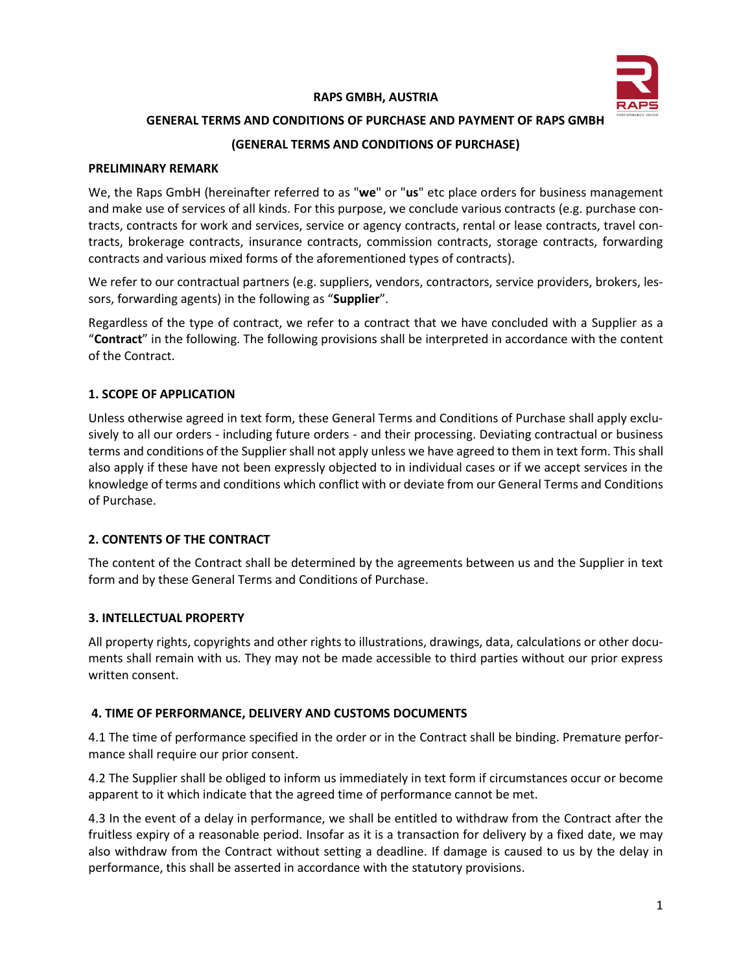

### **RAPS GMBH, AUSTRIA**

### **GENERAL TERMS AND CONDITIONS OF PURCHASE AND PAYMENT OF RAPS GMBH**

## **(GENERAL TERMS AND CONDITIONS OF PURCHASE)**

#### **PRELIMINARY REMARK**

We, the Raps GmbH (hereinafter referred to as "**we**" or "**us**" etc place orders for business management and make use of services of all kinds. For this purpose, we conclude various contracts (e.g. purchase contracts, contracts for work and services, service or agency contracts, rental or lease contracts, travel contracts, brokerage contracts, insurance contracts, commission contracts, storage contracts, forwarding contracts and various mixed forms of the aforementioned types of contracts).

We refer to our contractual partners (e.g. suppliers, vendors, contractors, service providers, brokers, lessors, forwarding agents) in the following as "**Supplier**".

Regardless of the type of contract, we refer to a contract that we have concluded with a Supplier as a "**Contract**" in the following. The following provisions shall be interpreted in accordance with the content of the Contract.

## **1. SCOPE OF APPLICATION**

Unless otherwise agreed in text form, these General Terms and Conditions of Purchase shall apply exclusively to all our orders - including future orders - and their processing. Deviating contractual or business terms and conditions of the Supplier shall not apply unless we have agreed to them in text form. This shall also apply if these have not been expressly objected to in individual cases or if we accept services in the knowledge of terms and conditions which conflict with or deviate from our General Terms and Conditions of Purchase.

## **2. CONTENTS OF THE CONTRACT**

The content of the Contract shall be determined by the agreements between us and the Supplier in text form and by these General Terms and Conditions of Purchase.

#### **3. INTELLECTUAL PROPERTY**

All property rights, copyrights and other rights to illustrations, drawings, data, calculations or other documents shall remain with us. They may not be made accessible to third parties without our prior express written consent.

## **4. TIME OF PERFORMANCE, DELIVERY AND CUSTOMS DOCUMENTS**

4.1 The time of performance specified in the order or in the Contract shall be binding. Premature performance shall require our prior consent.

4.2 The Supplier shall be obliged to inform us immediately in text form if circumstances occur or become apparent to it which indicate that the agreed time of performance cannot be met.

4.3 In the event of a delay in performance, we shall be entitled to withdraw from the Contract after the fruitless expiry of a reasonable period. Insofar as it is a transaction for delivery by a fixed date, we may also withdraw from the Contract without setting a deadline. If damage is caused to us by the delay in performance, this shall be asserted in accordance with the statutory provisions.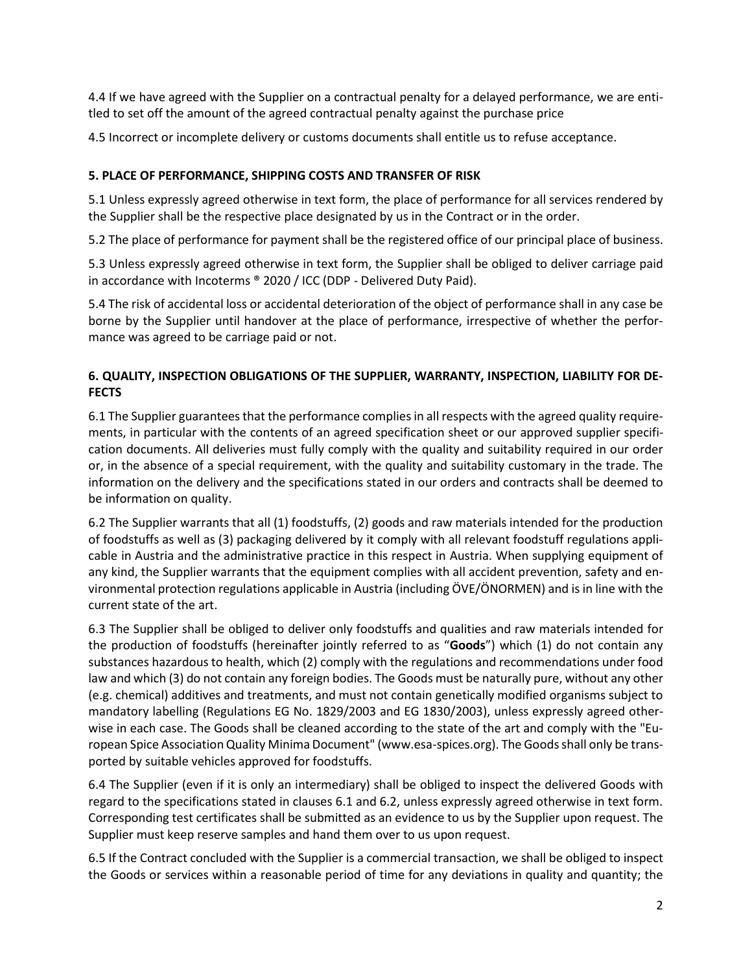4.4 If we have agreed with the Supplier on a contractual penalty for a delayed performance, we are entitled to set off the amount of the agreed contractual penalty against the purchase price

4.5 Incorrect or incomplete delivery or customs documents shall entitle us to refuse acceptance.

## **5. PLACE OF PERFORMANCE, SHIPPING COSTS AND TRANSFER OF RISK**

5.1 Unless expressly agreed otherwise in text form, the place of performance for all services rendered by the Supplier shall be the respective place designated by us in the Contract or in the order.

5.2 The place of performance for payment shall be the registered office of our principal place of business.

5.3 Unless expressly agreed otherwise in text form, the Supplier shall be obliged to deliver carriage paid in accordance with Incoterms ® 2020 / ICC (DDP - Delivered Duty Paid).

5.4 The risk of accidental loss or accidental deterioration of the object of performance shall in any case be borne by the Supplier until handover at the place of performance, irrespective of whether the performance was agreed to be carriage paid or not.

# **6. QUALITY, INSPECTION OBLIGATIONS OF THE SUPPLIER, WARRANTY, INSPECTION, LIABILITY FOR DE-FECTS**

6.1 The Supplier guarantees that the performance complies in all respects with the agreed quality requirements, in particular with the contents of an agreed specification sheet or our approved supplier specification documents. All deliveries must fully comply with the quality and suitability required in our order or, in the absence of a special requirement, with the quality and suitability customary in the trade. The information on the delivery and the specifications stated in our orders and contracts shall be deemed to be information on quality.

6.2 The Supplier warrants that all (1) foodstuffs, (2) goods and raw materials intended for the production of foodstuffs as well as (3) packaging delivered by it comply with all relevant foodstuff regulations applicable in Austria and the administrative practice in this respect in Austria. When supplying equipment of any kind, the Supplier warrants that the equipment complies with all accident prevention, safety and environmental protection regulations applicable in Austria (including ÖVE/ÖNORMEN) and is in line with the current state of the art.

6.3 The Supplier shall be obliged to deliver only foodstuffs and qualities and raw materials intended for the production of foodstuffs (hereinafter jointly referred to as "**Goods**") which (1) do not contain any substances hazardous to health, which (2) comply with the regulations and recommendations under food law and which (3) do not contain any foreign bodies. The Goods must be naturally pure, without any other (e.g. chemical) additives and treatments, and must not contain genetically modified organisms subject to mandatory labelling (Regulations EG No. 1829/2003 and EG 1830/2003), unless expressly agreed otherwise in each case. The Goods shall be cleaned according to the state of the art and comply with the "European Spice Association Quality Minima Document" (www.esa-spices.org). The Goods shall only be transported by suitable vehicles approved for foodstuffs.

6.4 The Supplier (even if it is only an intermediary) shall be obliged to inspect the delivered Goods with regard to the specifications stated in clauses 6.1 and 6.2, unless expressly agreed otherwise in text form. Corresponding test certificates shall be submitted as an evidence to us by the Supplier upon request. The Supplier must keep reserve samples and hand them over to us upon request.

6.5 If the Contract concluded with the Supplier is a commercial transaction, we shall be obliged to inspect the Goods or services within a reasonable period of time for any deviations in quality and quantity; the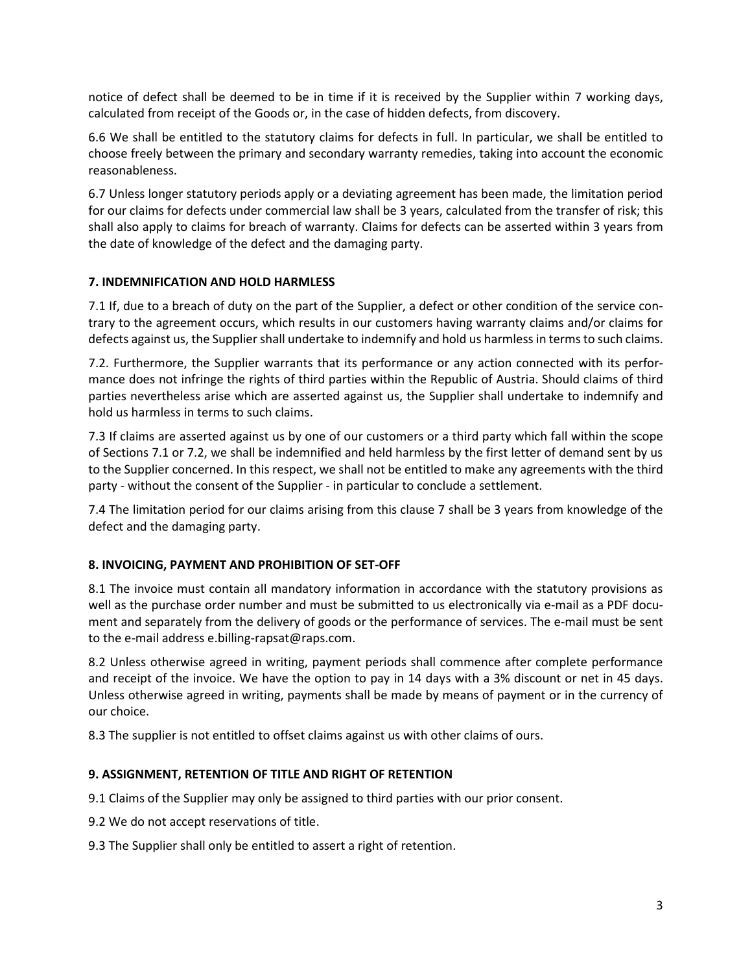notice of defect shall be deemed to be in time if it is received by the Supplier within 7 working days, calculated from receipt of the Goods or, in the case of hidden defects, from discovery.

6.6 We shall be entitled to the statutory claims for defects in full. In particular, we shall be entitled to choose freely between the primary and secondary warranty remedies, taking into account the economic reasonableness.

6.7 Unless longer statutory periods apply or a deviating agreement has been made, the limitation period for our claims for defects under commercial law shall be 3 years, calculated from the transfer of risk; this shall also apply to claims for breach of warranty. Claims for defects can be asserted within 3 years from the date of knowledge of the defect and the damaging party.

## **7. INDEMNIFICATION AND HOLD HARMLESS**

7.1 If, due to a breach of duty on the part of the Supplier, a defect or other condition of the service contrary to the agreement occurs, which results in our customers having warranty claims and/or claims for defects against us, the Supplier shall undertake to indemnify and hold us harmless in termsto such claims.

7.2. Furthermore, the Supplier warrants that its performance or any action connected with its performance does not infringe the rights of third parties within the Republic of Austria. Should claims of third parties nevertheless arise which are asserted against us, the Supplier shall undertake to indemnify and hold us harmless in terms to such claims.

7.3 If claims are asserted against us by one of our customers or a third party which fall within the scope of Sections 7.1 or 7.2, we shall be indemnified and held harmless by the first letter of demand sent by us to the Supplier concerned. In this respect, we shall not be entitled to make any agreements with the third party - without the consent of the Supplier - in particular to conclude a settlement.

7.4 The limitation period for our claims arising from this clause 7 shall be 3 years from knowledge of the defect and the damaging party.

## **8. INVOICING, PAYMENT AND PROHIBITION OF SET-OFF**

8.1 The invoice must contain all mandatory information in accordance with the statutory provisions as well as the purchase order number and must be submitted to us electronically via e-mail as a PDF document and separately from the delivery of goods or the performance of services. The e-mail must be sent to the e-mail address e.billing-rapsat@raps.com.

8.2 Unless otherwise agreed in writing, payment periods shall commence after complete performance and receipt of the invoice. We have the option to pay in 14 days with a 3% discount or net in 45 days. Unless otherwise agreed in writing, payments shall be made by means of payment or in the currency of our choice.

8.3 The supplier is not entitled to offset claims against us with other claims of ours.

# **9. ASSIGNMENT, RETENTION OF TITLE AND RIGHT OF RETENTION**

9.1 Claims of the Supplier may only be assigned to third parties with our prior consent.

9.2 We do not accept reservations of title.

9.3 The Supplier shall only be entitled to assert a right of retention.